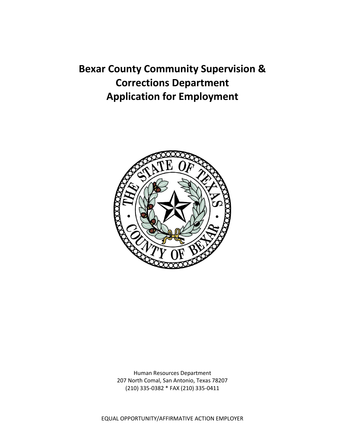**Bexar County Community Supervision & Corrections Department Application for Employment**



Human Resources Department 207 North Comal, San Antonio, Texas 78207 (210) 335-0382 \* FAX (210) 335-0411

EQUAL OPPORTUNITY/AFFIRMATIVE ACTION EMPLOYER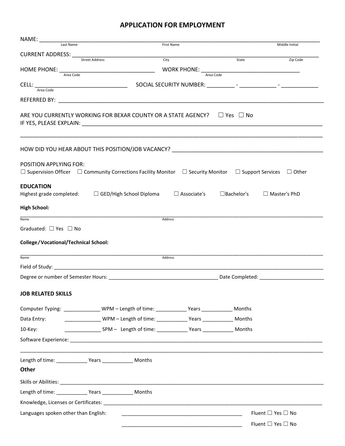## **APPLICATION FOR EMPLOYMENT**

| Last Name                                   |                                                                                                                                       | First Name                                                                                                            |                      | Middle Initial                    |
|---------------------------------------------|---------------------------------------------------------------------------------------------------------------------------------------|-----------------------------------------------------------------------------------------------------------------------|----------------------|-----------------------------------|
|                                             |                                                                                                                                       |                                                                                                                       |                      |                                   |
| <b>CURRENT ADDRESS:</b>                     | Street Address                                                                                                                        | City                                                                                                                  | State                | Zip Code                          |
|                                             |                                                                                                                                       | WORK PHONE:<br>Area Code                                                                                              |                      |                                   |
|                                             |                                                                                                                                       |                                                                                                                       |                      |                                   |
|                                             |                                                                                                                                       |                                                                                                                       |                      |                                   |
|                                             |                                                                                                                                       |                                                                                                                       |                      |                                   |
|                                             | ARE YOU CURRENTLY WORKING FOR BEXAR COUNTY OR A STATE AGENCY? $\quad \Box$ Yes $\ \Box$ No                                            |                                                                                                                       |                      |                                   |
|                                             |                                                                                                                                       |                                                                                                                       |                      |                                   |
| POSITION APPLYING FOR:                      |                                                                                                                                       |                                                                                                                       |                      |                                   |
|                                             | $\Box$ Supervision Officer $\Box$ Community Corrections Facility Monitor $\Box$ Security Monitor $\Box$ Support Services $\Box$ Other |                                                                                                                       |                      |                                   |
| <b>EDUCATION</b>                            |                                                                                                                                       |                                                                                                                       |                      |                                   |
|                                             | Highest grade completed: □ GED/High School Diploma                                                                                    | $\Box$ Associate's                                                                                                    | $\square$ Bachelor's | $\Box$ Master's PhD               |
|                                             |                                                                                                                                       |                                                                                                                       |                      |                                   |
| <b>High School:</b>                         |                                                                                                                                       |                                                                                                                       |                      |                                   |
| Name                                        |                                                                                                                                       | Address                                                                                                               |                      |                                   |
| Graduated: $\Box$ Yes $\Box$ No             |                                                                                                                                       |                                                                                                                       |                      |                                   |
| <b>College/Vocational/Technical School:</b> |                                                                                                                                       |                                                                                                                       |                      |                                   |
| Name                                        |                                                                                                                                       | Address                                                                                                               |                      |                                   |
|                                             |                                                                                                                                       |                                                                                                                       |                      |                                   |
|                                             |                                                                                                                                       |                                                                                                                       |                      |                                   |
| <b>JOB RELATED SKILLS</b>                   |                                                                                                                                       |                                                                                                                       |                      |                                   |
|                                             | Computer Typing: ______________ WPM - Length of time: ____________Years ____________ Months                                           |                                                                                                                       |                      |                                   |
| Data Entry:                                 |                                                                                                                                       |                                                                                                                       |                      |                                   |
| $10$ -Key:                                  |                                                                                                                                       |                                                                                                                       |                      |                                   |
|                                             |                                                                                                                                       |                                                                                                                       |                      |                                   |
|                                             |                                                                                                                                       |                                                                                                                       |                      |                                   |
|                                             |                                                                                                                                       |                                                                                                                       |                      |                                   |
| Other                                       |                                                                                                                                       |                                                                                                                       |                      |                                   |
|                                             |                                                                                                                                       |                                                                                                                       |                      |                                   |
|                                             | Length of time: __________________ Years _______________ Months                                                                       |                                                                                                                       |                      |                                   |
|                                             |                                                                                                                                       |                                                                                                                       |                      |                                   |
| Languages spoken other than English:        |                                                                                                                                       | <u> 1989 - Johann Harry Harry Harry Harry Harry Harry Harry Harry Harry Harry Harry Harry Harry Harry Harry Harry</u> |                      | Fluent $\square$ Yes $\square$ No |
|                                             |                                                                                                                                       |                                                                                                                       |                      | Fluent □ Yes □ No                 |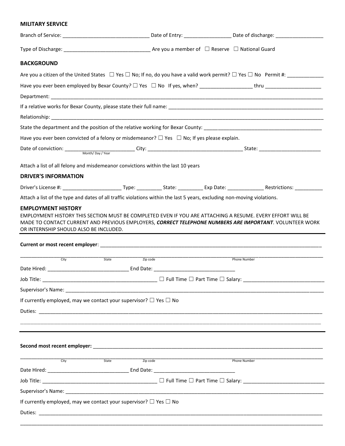## **MILITARY SERVICE**

| <b>BACKGROUND</b>                                                                                                       |       |          |              |                                                                                                                                                 |  |  |  |
|-------------------------------------------------------------------------------------------------------------------------|-------|----------|--------------|-------------------------------------------------------------------------------------------------------------------------------------------------|--|--|--|
|                                                                                                                         |       |          |              | Are you a citizen of the United States $\Box$ Yes $\Box$ No; If no, do you have a valid work permit? $\Box$ Yes $\Box$ No Permit #: ___________ |  |  |  |
|                                                                                                                         |       |          |              |                                                                                                                                                 |  |  |  |
|                                                                                                                         |       |          |              |                                                                                                                                                 |  |  |  |
|                                                                                                                         |       |          |              |                                                                                                                                                 |  |  |  |
|                                                                                                                         |       |          |              |                                                                                                                                                 |  |  |  |
|                                                                                                                         |       |          |              |                                                                                                                                                 |  |  |  |
| Have you ever been convicted of a felony or misdemeanor? $\Box$ Yes $\Box$ No; If yes please explain.                   |       |          |              |                                                                                                                                                 |  |  |  |
|                                                                                                                         |       |          |              |                                                                                                                                                 |  |  |  |
| Attach a list of all felony and misdemeanor convictions within the last 10 years                                        |       |          |              |                                                                                                                                                 |  |  |  |
| <b>DRIVER'S INFORMATION</b>                                                                                             |       |          |              |                                                                                                                                                 |  |  |  |
|                                                                                                                         |       |          |              |                                                                                                                                                 |  |  |  |
| Attach a list of the type and dates of all traffic violations within the last 5 years, excluding non-moving violations. |       |          |              |                                                                                                                                                 |  |  |  |
| OR INTERNSHIP SHOULD ALSO BE INCLUDED.                                                                                  |       |          |              | MADE TO CONTACT CURRENT AND PREVIOUS EMPLOYERS, CORRECT TELEPHONE NUMBERS ARE IMPORTANT. VOLUNTEER WORK                                         |  |  |  |
| City                                                                                                                    | State | Zip code | Phone Number |                                                                                                                                                 |  |  |  |
|                                                                                                                         |       |          |              |                                                                                                                                                 |  |  |  |
|                                                                                                                         |       |          |              |                                                                                                                                                 |  |  |  |
|                                                                                                                         |       |          |              |                                                                                                                                                 |  |  |  |
| If currently employed, may we contact your supervisor? $\Box$ Yes $\Box$ No                                             |       |          |              |                                                                                                                                                 |  |  |  |
|                                                                                                                         |       |          |              |                                                                                                                                                 |  |  |  |
| City                                                                                                                    | State | Zip code | Phone Number |                                                                                                                                                 |  |  |  |
|                                                                                                                         |       |          |              |                                                                                                                                                 |  |  |  |
|                                                                                                                         |       |          |              |                                                                                                                                                 |  |  |  |
|                                                                                                                         |       |          |              |                                                                                                                                                 |  |  |  |
| If currently employed, may we contact your supervisor? $\Box$ Yes $\Box$ No                                             |       |          |              |                                                                                                                                                 |  |  |  |
|                                                                                                                         |       |          |              |                                                                                                                                                 |  |  |  |

\_\_\_\_\_\_\_\_\_\_\_\_\_\_\_\_\_\_\_\_\_\_\_\_\_\_\_\_\_\_\_\_\_\_\_\_\_\_\_\_\_\_\_\_\_\_\_\_\_\_\_\_\_\_\_\_\_\_\_\_\_\_\_\_\_\_\_\_\_\_\_\_\_\_\_\_\_\_\_\_\_\_\_\_\_\_\_\_\_\_\_\_\_\_\_\_\_\_\_\_\_\_\_\_\_\_\_\_